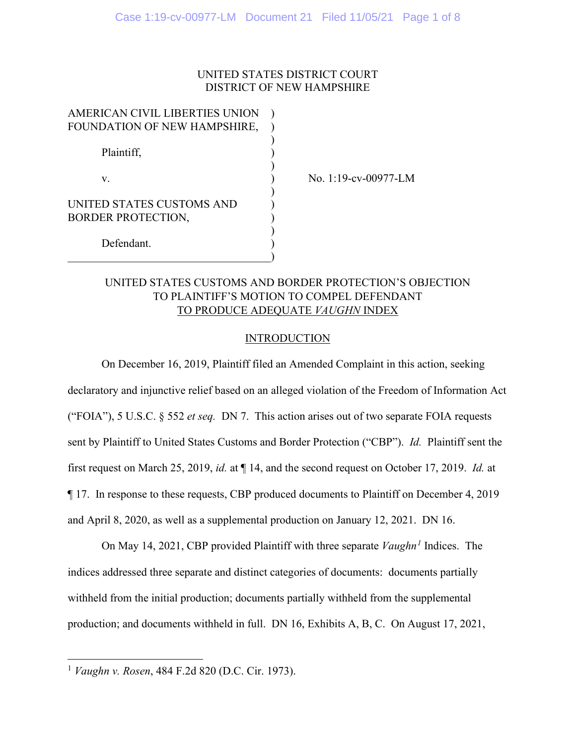### UNITED STATES DISTRICT COURT DISTRICT OF NEW HAMPSHIRE

| AMERICAN CIVIL LIBERTIES UNION |  |
|--------------------------------|--|
| FOUNDATION OF NEW HAMPSHIRE,   |  |
|                                |  |
| Plaintiff,                     |  |
|                                |  |
| V.                             |  |
|                                |  |
| UNITED STATES CUSTOMS AND      |  |
| <b>BORDER PROTECTION,</b>      |  |
|                                |  |
| Defendant.                     |  |
|                                |  |

No. 1:19-cv-00977-LM

## UNITED STATES CUSTOMS AND BORDER PROTECTION'S OBJECTION TO PLAINTIFF'S MOTION TO COMPEL DEFENDANT TO PRODUCE ADEQUATE *VAUGHN* INDEX

#### **INTRODUCTION**

On December 16, 2019, Plaintiff filed an Amended Complaint in this action, seeking declaratory and injunctive relief based on an alleged violation of the Freedom of Information Act ("FOIA"), 5 U.S.C. § 552 *et seq.* DN 7. This action arises out of two separate FOIA requests sent by Plaintiff to United States Customs and Border Protection ("CBP"). *Id.* Plaintiff sent the first request on March 25, 2019, *id.* at ¶ 14, and the second request on October 17, 2019. *Id.* at ¶ 17. In response to these requests, CBP produced documents to Plaintiff on December 4, 2019 and April 8, 2020, as well as a supplemental production on January 12, 2021. DN 16.

On May 14, 2021, CBP provided Plaintiff with three separate *Vaughn[1](#page-0-0)* Indices. The indices addressed three separate and distinct categories of documents: documents partially withheld from the initial production; documents partially withheld from the supplemental production; and documents withheld in full. DN 16, Exhibits A, B, C. On August 17, 2021,

<span id="page-0-0"></span><sup>1</sup> *Vaughn v. Rosen*, 484 F.2d 820 (D.C. Cir. 1973).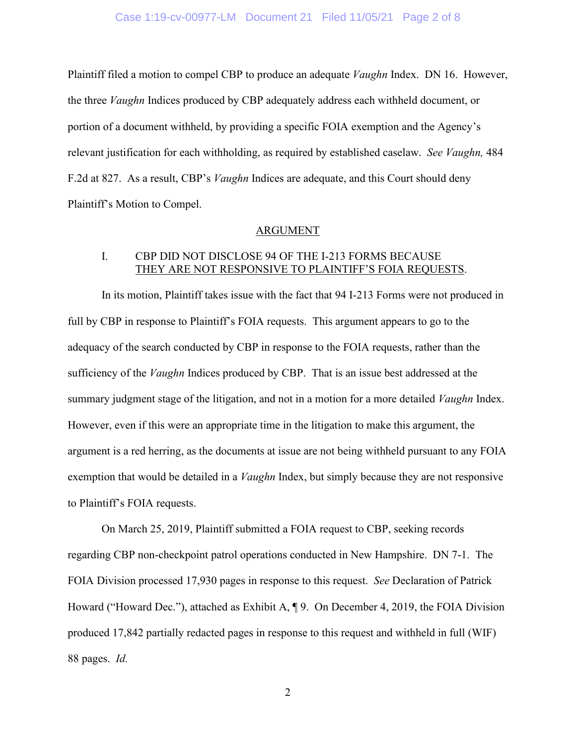#### Case 1:19-cv-00977-LM Document 21 Filed 11/05/21 Page 2 of 8

Plaintiff filed a motion to compel CBP to produce an adequate *Vaughn* Index. DN 16. However, the three *Vaughn* Indices produced by CBP adequately address each withheld document, or portion of a document withheld, by providing a specific FOIA exemption and the Agency's relevant justification for each withholding, as required by established caselaw. *See Vaughn,* 484 F.2d at 827. As a result, CBP's *Vaughn* Indices are adequate, and this Court should deny Plaintiff's Motion to Compel.

#### ARGUMENT

### I. CBP DID NOT DISCLOSE 94 OF THE I-213 FORMS BECAUSE THEY ARE NOT RESPONSIVE TO PLAINTIFF'S FOIA REQUESTS.

In its motion, Plaintiff takes issue with the fact that 94 I-213 Forms were not produced in full by CBP in response to Plaintiff's FOIA requests. This argument appears to go to the adequacy of the search conducted by CBP in response to the FOIA requests, rather than the sufficiency of the *Vaughn* Indices produced by CBP. That is an issue best addressed at the summary judgment stage of the litigation, and not in a motion for a more detailed *Vaughn* Index. However, even if this were an appropriate time in the litigation to make this argument, the argument is a red herring, as the documents at issue are not being withheld pursuant to any FOIA exemption that would be detailed in a *Vaughn* Index, but simply because they are not responsive to Plaintiff's FOIA requests.

On March 25, 2019, Plaintiff submitted a FOIA request to CBP, seeking records regarding CBP non-checkpoint patrol operations conducted in New Hampshire. DN 7-1. The FOIA Division processed 17,930 pages in response to this request. *See* Declaration of Patrick Howard ("Howard Dec."), attached as Exhibit A, ¶ 9. On December 4, 2019, the FOIA Division produced 17,842 partially redacted pages in response to this request and withheld in full (WIF) 88 pages. *Id.*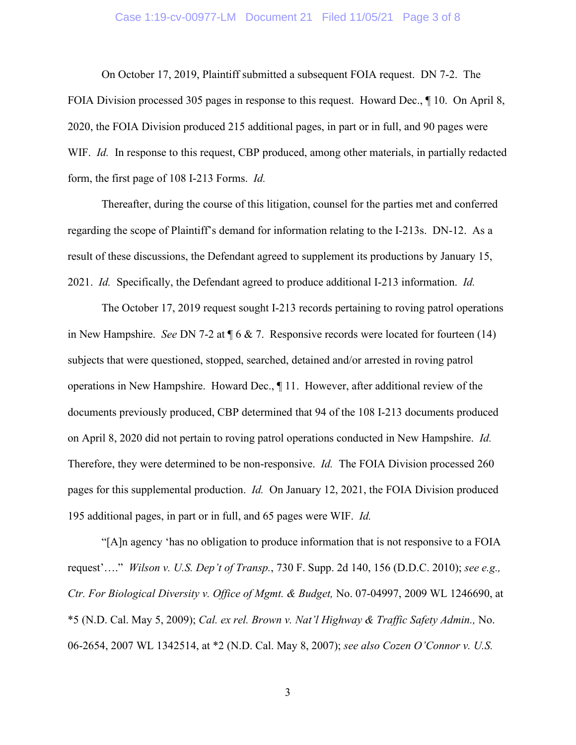#### Case 1:19-cv-00977-LM Document 21 Filed 11/05/21 Page 3 of 8

On October 17, 2019, Plaintiff submitted a subsequent FOIA request. DN 7-2. The FOIA Division processed 305 pages in response to this request. Howard Dec.,  $\P$  10. On April 8, 2020, the FOIA Division produced 215 additional pages, in part or in full, and 90 pages were WIF. *Id.* In response to this request, CBP produced, among other materials, in partially redacted form, the first page of 108 I-213 Forms. *Id.*

Thereafter, during the course of this litigation, counsel for the parties met and conferred regarding the scope of Plaintiff's demand for information relating to the I-213s. DN-12. As a result of these discussions, the Defendant agreed to supplement its productions by January 15, 2021. *Id.* Specifically, the Defendant agreed to produce additional I-213 information. *Id.*

The October 17, 2019 request sought I-213 records pertaining to roving patrol operations in New Hampshire. *See* DN 7-2 at ¶ 6 & 7. Responsive records were located for fourteen (14) subjects that were questioned, stopped, searched, detained and/or arrested in roving patrol operations in New Hampshire. Howard Dec., ¶ 11. However, after additional review of the documents previously produced, CBP determined that 94 of the 108 I-213 documents produced on April 8, 2020 did not pertain to roving patrol operations conducted in New Hampshire. *Id.* Therefore, they were determined to be non-responsive. *Id.* The FOIA Division processed 260 pages for this supplemental production. *Id.* On January 12, 2021, the FOIA Division produced 195 additional pages, in part or in full, and 65 pages were WIF. *Id.*

"[A]n agency 'has no obligation to produce information that is not responsive to a FOIA request'…." *Wilson v. U.S. Dep't of Transp.*, 730 F. Supp. 2d 140, 156 (D.D.C. 2010); *see e.g., Ctr. For Biological Diversity v. Office of Mgmt. & Budget,* No. 07-04997, 2009 WL 1246690, at \*5 (N.D. Cal. May 5, 2009); *Cal. ex rel. Brown v. Nat'l Highway & Traffic Safety Admin.,* No. 06-2654, 2007 WL 1342514, at \*2 (N.D. Cal. May 8, 2007); *see also Cozen O'Connor v. U.S.* 

3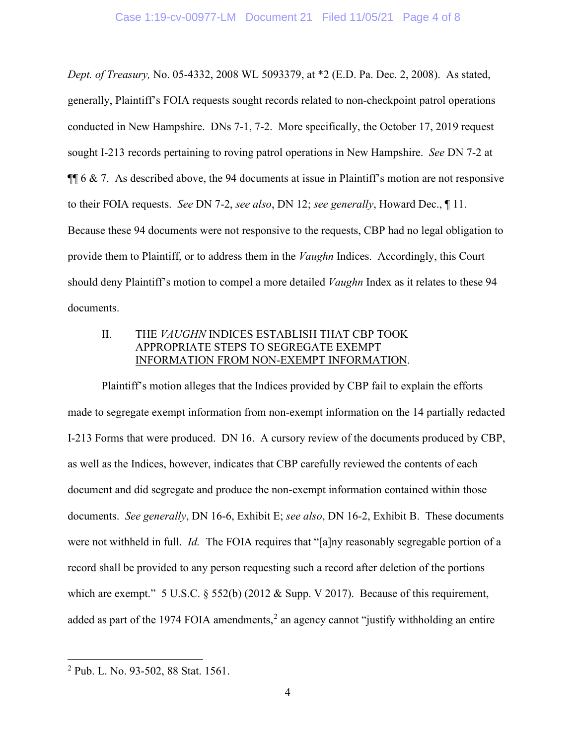*Dept. of Treasury,* No. 05-4332, 2008 WL 5093379, at \*2 (E.D. Pa. Dec. 2, 2008). As stated, generally, Plaintiff's FOIA requests sought records related to non-checkpoint patrol operations conducted in New Hampshire. DNs 7-1, 7-2. More specifically, the October 17, 2019 request sought I-213 records pertaining to roving patrol operations in New Hampshire. *See* DN 7-2 at  $\P$  6 & 7. As described above, the 94 documents at issue in Plaintiff's motion are not responsive to their FOIA requests. *See* DN 7-2, *see also*, DN 12; *see generally*, Howard Dec., ¶ 11. Because these 94 documents were not responsive to the requests, CBP had no legal obligation to provide them to Plaintiff, or to address them in the *Vaughn* Indices. Accordingly, this Court should deny Plaintiff's motion to compel a more detailed *Vaughn* Index as it relates to these 94 documents.

## II. THE *VAUGHN* INDICES ESTABLISH THAT CBP TOOK APPROPRIATE STEPS TO SEGREGATE EXEMPT INFORMATION FROM NON-EXEMPT INFORMATION.

Plaintiff's motion alleges that the Indices provided by CBP fail to explain the efforts made to segregate exempt information from non-exempt information on the 14 partially redacted I-213 Forms that were produced. DN 16. A cursory review of the documents produced by CBP, as well as the Indices, however, indicates that CBP carefully reviewed the contents of each document and did segregate and produce the non-exempt information contained within those documents. *See generally*, DN 16-6, Exhibit E; *see also*, DN 16-2, Exhibit B. These documents were not withheld in full. *Id.* The FOIA requires that "[a]ny reasonably segregable portion of a record shall be provided to any person requesting such a record after deletion of the portions which are exempt." 5 U.S.C. § 552(b) (2012 & Supp. V 2017). Because of this requirement, added as part of the 1974 FOIA amendments,<sup>[2](#page-3-0)</sup> an agency cannot "justify withholding an entire

<span id="page-3-0"></span><sup>2</sup> Pub. L. No. 93-502, 88 Stat. 1561.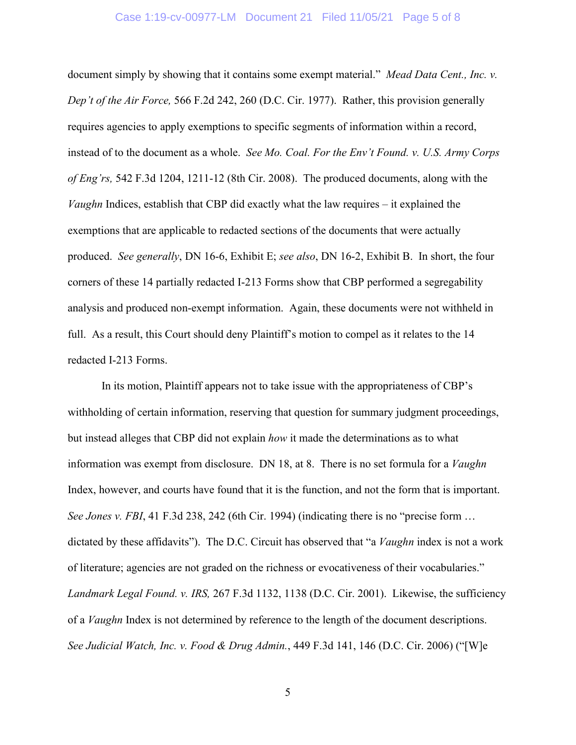#### Case 1:19-cv-00977-LM Document 21 Filed 11/05/21 Page 5 of 8

document simply by showing that it contains some exempt material." *Mead Data Cent., Inc. v. Dep't of the Air Force,* 566 F.2d 242, 260 (D.C. Cir. 1977). Rather, this provision generally requires agencies to apply exemptions to specific segments of information within a record, instead of to the document as a whole. *See Mo. Coal. For the Env't Found. v. U.S. Army Corps of Eng'rs,* 542 F.3d 1204, 1211-12 (8th Cir. 2008). The produced documents, along with the *Vaughn* Indices, establish that CBP did exactly what the law requires – it explained the exemptions that are applicable to redacted sections of the documents that were actually produced. *See generally*, DN 16-6, Exhibit E; *see also*, DN 16-2, Exhibit B. In short, the four corners of these 14 partially redacted I-213 Forms show that CBP performed a segregability analysis and produced non-exempt information. Again, these documents were not withheld in full. As a result, this Court should deny Plaintiff's motion to compel as it relates to the 14 redacted I-213 Forms.

In its motion, Plaintiff appears not to take issue with the appropriateness of CBP's withholding of certain information, reserving that question for summary judgment proceedings, but instead alleges that CBP did not explain *how* it made the determinations as to what information was exempt from disclosure. DN 18, at 8. There is no set formula for a *Vaughn* Index, however, and courts have found that it is the function, and not the form that is important. *See Jones v. FBI*, 41 F.3d 238, 242 (6th Cir. 1994) (indicating there is no "precise form ... dictated by these affidavits"). The D.C. Circuit has observed that "a *Vaughn* index is not a work of literature; agencies are not graded on the richness or evocativeness of their vocabularies." *Landmark Legal Found. v. IRS,* 267 F.3d 1132, 1138 (D.C. Cir. 2001). Likewise, the sufficiency of a *Vaughn* Index is not determined by reference to the length of the document descriptions. *See Judicial Watch, Inc. v. Food & Drug Admin.*, 449 F.3d 141, 146 (D.C. Cir. 2006) ("[W]e

5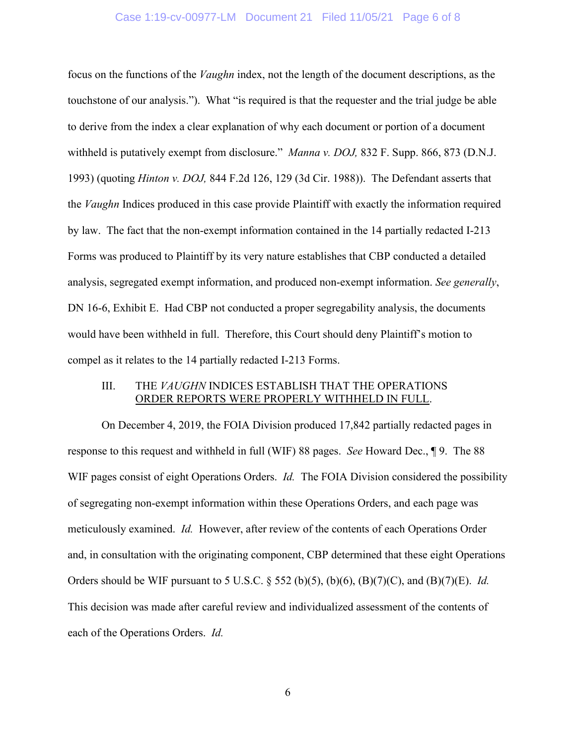#### Case 1:19-cv-00977-LM Document 21 Filed 11/05/21 Page 6 of 8

focus on the functions of the *Vaughn* index, not the length of the document descriptions, as the touchstone of our analysis."). What "is required is that the requester and the trial judge be able to derive from the index a clear explanation of why each document or portion of a document withheld is putatively exempt from disclosure." *Manna v. DOJ,* 832 F. Supp. 866, 873 (D.N.J. 1993) (quoting *Hinton v. DOJ,* 844 F.2d 126, 129 (3d Cir. 1988)). The Defendant asserts that the *Vaughn* Indices produced in this case provide Plaintiff with exactly the information required by law. The fact that the non-exempt information contained in the 14 partially redacted I-213 Forms was produced to Plaintiff by its very nature establishes that CBP conducted a detailed analysis, segregated exempt information, and produced non-exempt information. *See generally*, DN 16-6, Exhibit E. Had CBP not conducted a proper segregability analysis, the documents would have been withheld in full. Therefore, this Court should deny Plaintiff's motion to compel as it relates to the 14 partially redacted I-213 Forms.

### III. THE *VAUGHN* INDICES ESTABLISH THAT THE OPERATIONS ORDER REPORTS WERE PROPERLY WITHHELD IN FULL.

On December 4, 2019, the FOIA Division produced 17,842 partially redacted pages in response to this request and withheld in full (WIF) 88 pages. *See* Howard Dec., ¶ 9. The 88 WIF pages consist of eight Operations Orders. *Id.* The FOIA Division considered the possibility of segregating non-exempt information within these Operations Orders, and each page was meticulously examined. *Id.* However, after review of the contents of each Operations Order and, in consultation with the originating component, CBP determined that these eight Operations Orders should be WIF pursuant to 5 U.S.C. § 552 (b)(5), (b)(6), (B)(7)(C), and (B)(7)(E). *Id.* This decision was made after careful review and individualized assessment of the contents of each of the Operations Orders. *Id.*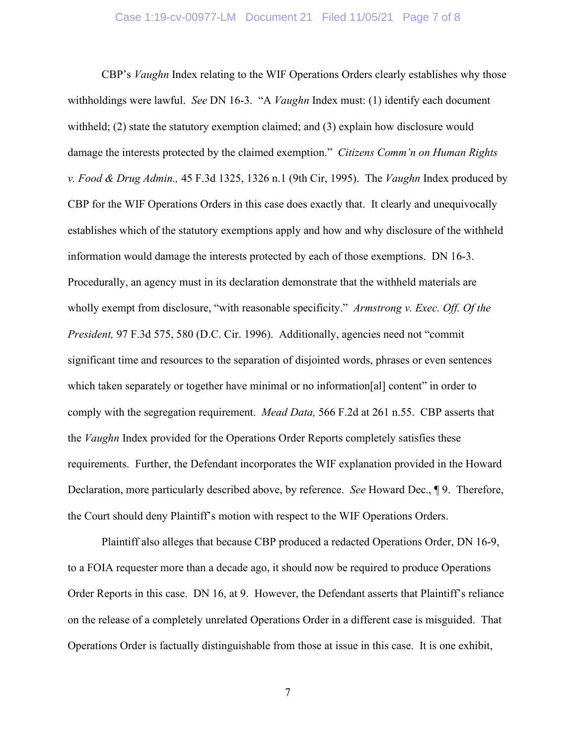CBP's *Vaughn* Index relating to the WIF Operations Orders clearly establishes why those withholdings were lawful. *See* DN 16-3. "A *Vaughn* Index must: (1) identify each document withheld; (2) state the statutory exemption claimed; and (3) explain how disclosure would damage the interests protected by the claimed exemption." *Citizens Comm'n on Human Rights v. Food & Drug Admin.,* 45 F.3d 1325, 1326 n.1 (9th Cir, 1995). The *Vaughn* Index produced by CBP for the WIF Operations Orders in this case does exactly that. It clearly and unequivocally establishes which of the statutory exemptions apply and how and why disclosure of the withheld information would damage the interests protected by each of those exemptions. DN 16-3. Procedurally, an agency must in its declaration demonstrate that the withheld materials are wholly exempt from disclosure, "with reasonable specificity." *Armstrong v. Exec. Off. Of the President,* 97 F.3d 575, 580 (D.C. Cir. 1996). Additionally, agencies need not "commit significant time and resources to the separation of disjointed words, phrases or even sentences which taken separately or together have minimal or no information[al] content" in order to comply with the segregation requirement. *Mead Data,* 566 F.2d at 261 n.55. CBP asserts that the *Vaughn* Index provided for the Operations Order Reports completely satisfies these requirements. Further, the Defendant incorporates the WIF explanation provided in the Howard Declaration, more particularly described above, by reference. *See* Howard Dec., ¶ 9. Therefore, the Court should deny Plaintiff's motion with respect to the WIF Operations Orders.

Plaintiff also alleges that because CBP produced a redacted Operations Order, DN 16-9, to a FOIA requester more than a decade ago, it should now be required to produce Operations Order Reports in this case. DN 16, at 9. However, the Defendant asserts that Plaintiff's reliance on the release of a completely unrelated Operations Order in a different case is misguided. That Operations Order is factually distinguishable from those at issue in this case. It is one exhibit,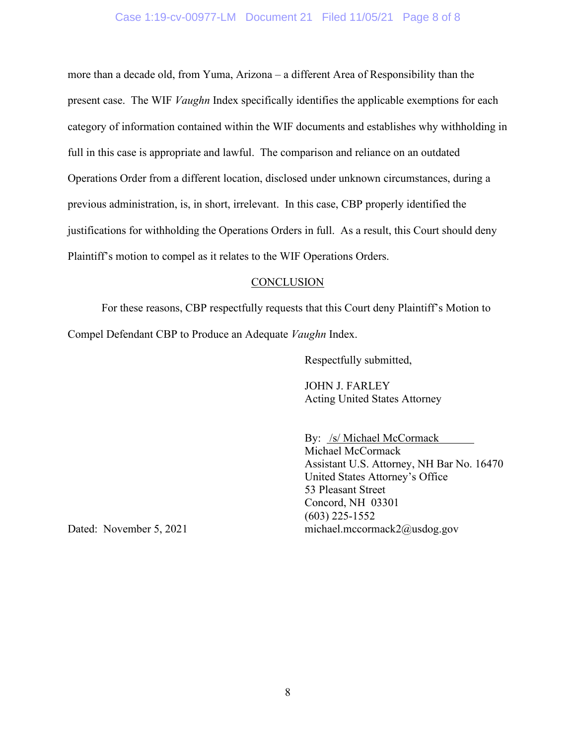#### Case 1:19-cv-00977-LM Document 21 Filed 11/05/21 Page 8 of 8

more than a decade old, from Yuma, Arizona – a different Area of Responsibility than the present case. The WIF *Vaughn* Index specifically identifies the applicable exemptions for each category of information contained within the WIF documents and establishes why withholding in full in this case is appropriate and lawful. The comparison and reliance on an outdated Operations Order from a different location, disclosed under unknown circumstances, during a previous administration, is, in short, irrelevant. In this case, CBP properly identified the justifications for withholding the Operations Orders in full. As a result, this Court should deny Plaintiff's motion to compel as it relates to the WIF Operations Orders.

#### **CONCLUSION**

For these reasons, CBP respectfully requests that this Court deny Plaintiff's Motion to Compel Defendant CBP to Produce an Adequate *Vaughn* Index.

Respectfully submitted,

JOHN J. FARLEY Acting United States Attorney

By: /s/ Michael McCormack Michael McCormack Assistant U.S. Attorney, NH Bar No. 16470 United States Attorney's Office 53 Pleasant Street Concord, NH 03301 (603) 225-1552 Dated: November 5, 2021 michael.mccormack2@usdog.gov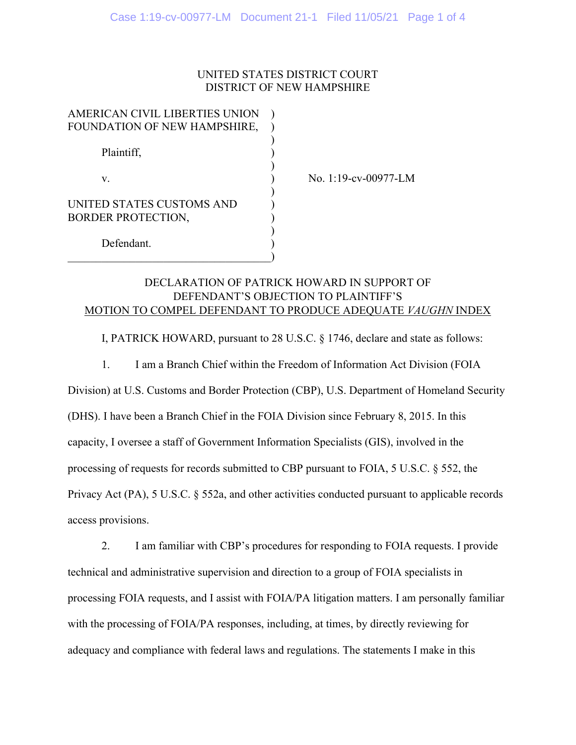### UNITED STATES DISTRICT COURT DISTRICT OF NEW HAMPSHIRE

| AMERICAN CIVIL LIBERTIES UNION |  |
|--------------------------------|--|
| FOUNDATION OF NEW HAMPSHIRE,   |  |
|                                |  |
| Plaintiff,                     |  |
|                                |  |
| V.                             |  |
|                                |  |
| UNITED STATES CUSTOMS AND      |  |
| <b>BORDER PROTECTION,</b>      |  |
|                                |  |
| Defendant.                     |  |
|                                |  |

No. 1:19-cv-00977-LM

# DECLARATION OF PATRICK HOWARD IN SUPPORT OF DEFENDANT'S OBJECTION TO PLAINTIFF'S MOTION TO COMPEL DEFENDANT TO PRODUCE ADEQUATE *VAUGHN* INDEX

I, PATRICK HOWARD, pursuant to 28 U.S.C. § 1746, declare and state as follows:

1. I am a Branch Chief within the Freedom of Information Act Division (FOIA

Division) at U.S. Customs and Border Protection (CBP), U.S. Department of Homeland Security (DHS). I have been a Branch Chief in the FOIA Division since February 8, 2015. In this capacity, I oversee a staff of Government Information Specialists (GIS), involved in the processing of requests for records submitted to CBP pursuant to FOIA, 5 U.S.C. § 552, the Privacy Act (PA), 5 U.S.C. § 552a, and other activities conducted pursuant to applicable records access provisions.

 2. I am familiar with CBP's procedures for responding to FOIA requests. I provide technical and administrative supervision and direction to a group of FOIA specialists in processing FOIA requests, and I assist with FOIA/PA litigation matters. I am personally familiar with the processing of FOIA/PA responses, including, at times, by directly reviewing for adequacy and compliance with federal laws and regulations. The statements I make in this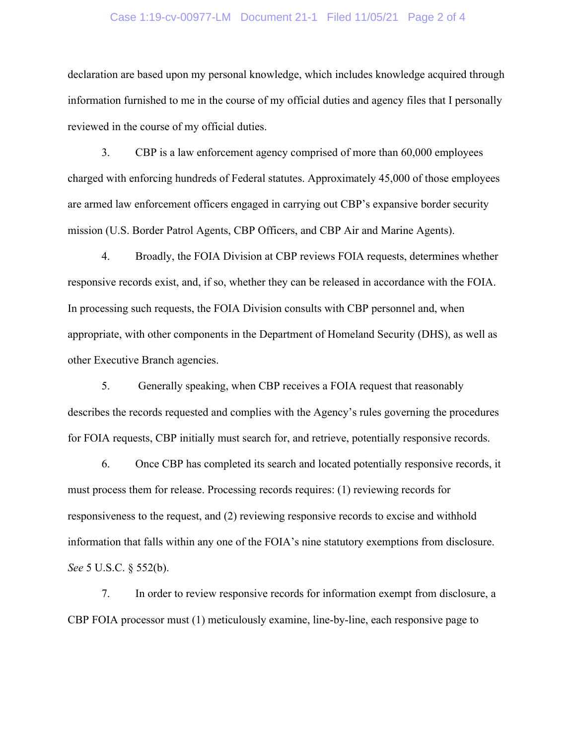#### Case 1:19-cv-00977-LM Document 21-1 Filed 11/05/21 Page 2 of 4

declaration are based upon my personal knowledge, which includes knowledge acquired through information furnished to me in the course of my official duties and agency files that I personally reviewed in the course of my official duties.

3. CBP is a law enforcement agency comprised of more than 60,000 employees charged with enforcing hundreds of Federal statutes. Approximately 45,000 of those employees are armed law enforcement officers engaged in carrying out CBP's expansive border security mission (U.S. Border Patrol Agents, CBP Officers, and CBP Air and Marine Agents).

4. Broadly, the FOIA Division at CBP reviews FOIA requests, determines whether responsive records exist, and, if so, whether they can be released in accordance with the FOIA. In processing such requests, the FOIA Division consults with CBP personnel and, when appropriate, with other components in the Department of Homeland Security (DHS), as well as other Executive Branch agencies.

5. Generally speaking, when CBP receives a FOIA request that reasonably describes the records requested and complies with the Agency's rules governing the procedures for FOIA requests, CBP initially must search for, and retrieve, potentially responsive records.

6. Once CBP has completed its search and located potentially responsive records, it must process them for release. Processing records requires: (1) reviewing records for responsiveness to the request, and (2) reviewing responsive records to excise and withhold information that falls within any one of the FOIA's nine statutory exemptions from disclosure. *See* 5 U.S.C. § 552(b).

7. In order to review responsive records for information exempt from disclosure, a CBP FOIA processor must (1) meticulously examine, line-by-line, each responsive page to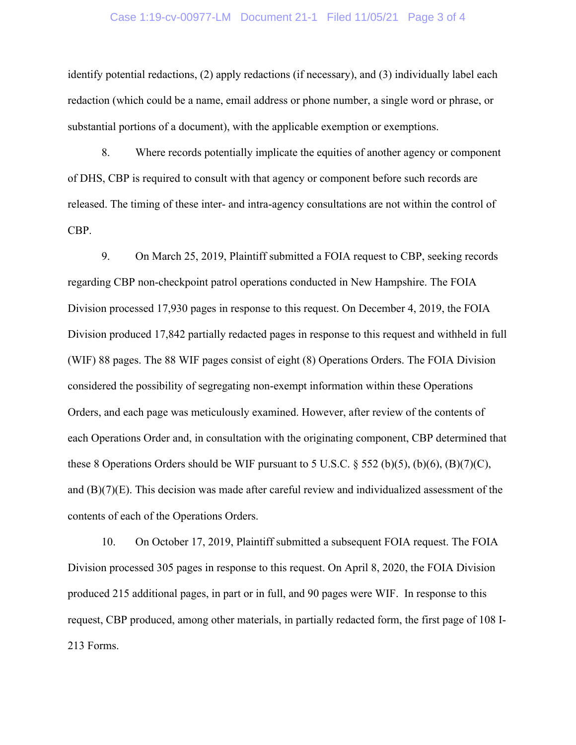#### Case 1:19-cv-00977-LM Document 21-1 Filed 11/05/21 Page 3 of 4

identify potential redactions, (2) apply redactions (if necessary), and (3) individually label each redaction (which could be a name, email address or phone number, a single word or phrase, or substantial portions of a document), with the applicable exemption or exemptions.

8. Where records potentially implicate the equities of another agency or component of DHS, CBP is required to consult with that agency or component before such records are released. The timing of these inter- and intra-agency consultations are not within the control of CBP.

 9. On March 25, 2019, Plaintiff submitted a FOIA request to CBP, seeking records regarding CBP non-checkpoint patrol operations conducted in New Hampshire. The FOIA Division processed 17,930 pages in response to this request. On December 4, 2019, the FOIA Division produced 17,842 partially redacted pages in response to this request and withheld in full (WIF) 88 pages. The 88 WIF pages consist of eight (8) Operations Orders. The FOIA Division considered the possibility of segregating non-exempt information within these Operations Orders, and each page was meticulously examined. However, after review of the contents of each Operations Order and, in consultation with the originating component, CBP determined that these 8 Operations Orders should be WIF pursuant to 5 U.S.C.  $\S$  552 (b)(5), (b)(6), (B)(7)(C), and (B)(7)(E). This decision was made after careful review and individualized assessment of the contents of each of the Operations Orders.

10. On October 17, 2019, Plaintiff submitted a subsequent FOIA request. The FOIA Division processed 305 pages in response to this request. On April 8, 2020, the FOIA Division produced 215 additional pages, in part or in full, and 90 pages were WIF. In response to this request, CBP produced, among other materials, in partially redacted form, the first page of 108 I-213 Forms.